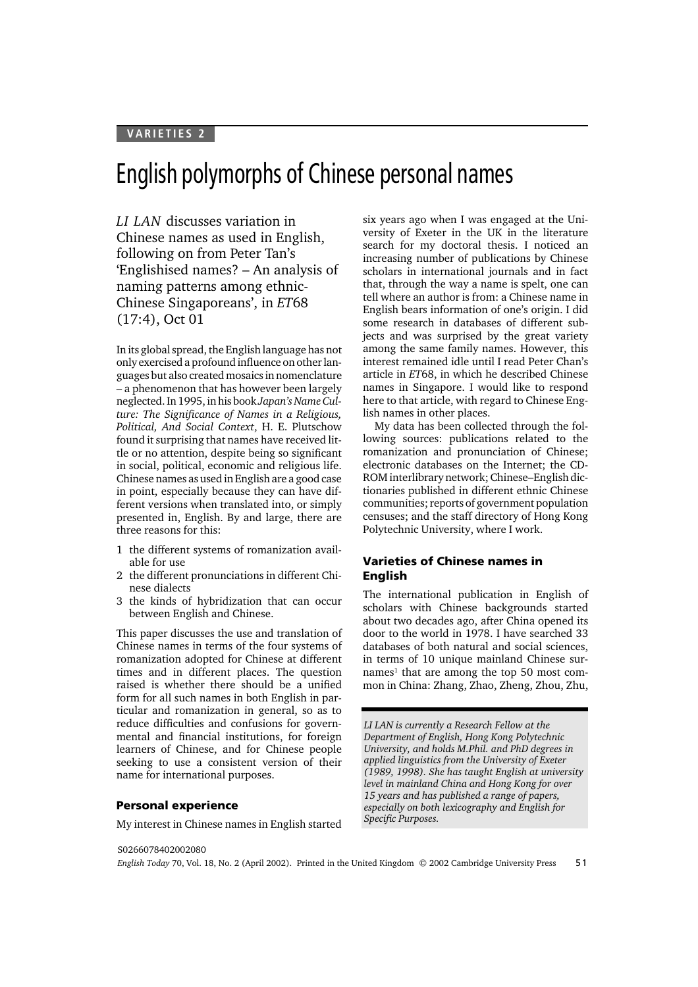# **VARIETIES 2**

# English polymorphs of Chinese personal names

*LI LAN* discusses variation in Chinese names as used in English, following on from Peter Tan's 'Englishised names? – An analysis of naming patterns among ethnic-Chinese Singaporeans', in *ET*68 (17:4), Oct 01

In its global spread, the English language has not only exercised a profound influence on other languages but also created mosaics in nomenclature – a phenomenon that has however been largely neglected. In 1995, in his book *Japan's Name Culture: The Significance of Names in a Religious, Political, And Social Context*, H. E. Plutschow found it surprising that names have received little or no attention, despite being so significant in social, political, economic and religious life. Chinese names as used in English are a good case in point, especially because they can have different versions when translated into, or simply presented in, English. By and large, there are three reasons for this:

- 1 the different systems of romanization available for use
- 2 the different pronunciations in different Chinese dialects
- 3 the kinds of hybridization that can occur between English and Chinese.

This paper discusses the use and translation of Chinese names in terms of the four systems of romanization adopted for Chinese at different times and in different places. The question raised is whether there should be a unified form for all such names in both English in particular and romanization in general, so as to reduce difficulties and confusions for governmental and financial institutions, for foreign learners of Chinese, and for Chinese people seeking to use a consistent version of their name for international purposes.

#### **Personal experience**

My interest in Chinese names in English started

six years ago when I was engaged at the University of Exeter in the UK in the literature search for my doctoral thesis. I noticed an increasing number of publications by Chinese scholars in international journals and in fact that, through the way a name is spelt, one can tell where an author is from: a Chinese name in English bears information of one's origin. I did some research in databases of different subjects and was surprised by the great variety among the same family names. However, this interest remained idle until I read Peter Chan's article in *ET*68, in which he described Chinese names in Singapore. I would like to respond here to that article, with regard to Chinese English names in other places.

My data has been collected through the following sources: publications related to the romanization and pronunciation of Chinese; electronic databases on the Internet; the CD-ROM interlibrary network; Chinese–English dictionaries published in different ethnic Chinese communities; reports of government population censuses; and the staff directory of Hong Kong Polytechnic University, where I work.

#### **Varieties of Chinese names in English**

The international publication in English of scholars with Chinese backgrounds started about two decades ago, after China opened its door to the world in 1978. I have searched 33 databases of both natural and social sciences, in terms of 10 unique mainland Chinese surnames<sup>1</sup> that are among the top 50 most common in China: Zhang, Zhao, Zheng, Zhou, Zhu,

*LI LAN is currently a Research Fellow at the Department of English, Hong Kong Polytechnic University, and holds M.Phil. and PhD degrees in applied linguistics from the University of Exeter (1989, 1998). She has taught English at university level in mainland China and Hong Kong for over 15 years and has published a range of papers, especially on both lexicography and English for Specific Purposes.* 

*English Today* 70, Vol. 18, No. 2 (April 2002). Printed in the United Kingdom © 2002 Cambridge University Press 51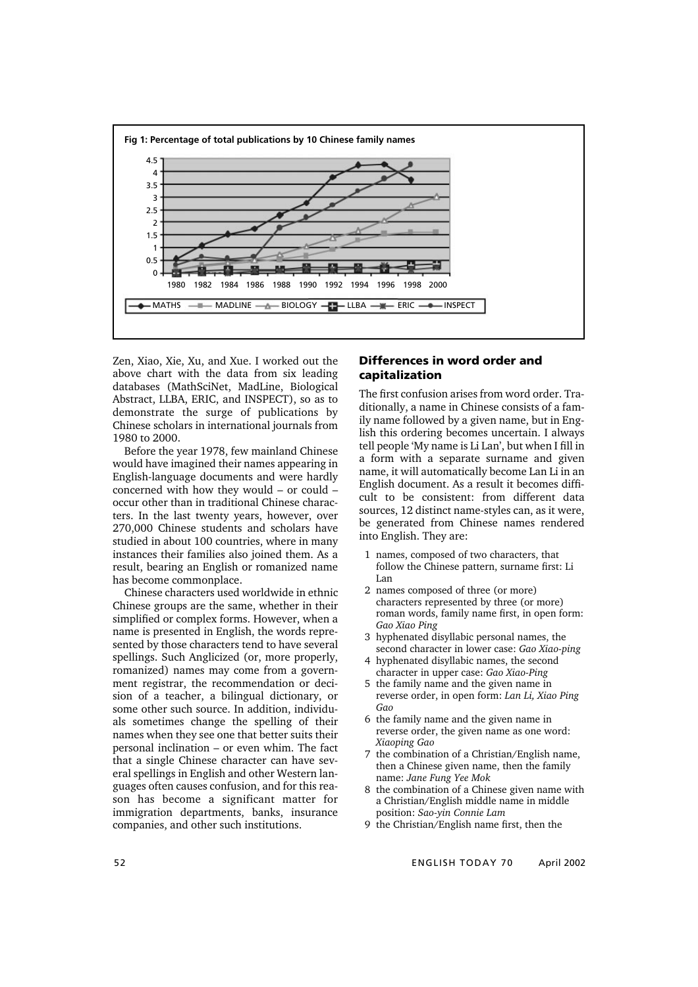

Zen, Xiao, Xie, Xu, and Xue. I worked out the above chart with the data from six leading databases (MathSciNet, MadLine, Biological Abstract, LLBA, ERIC, and INSPECT), so as to demonstrate the surge of publications by Chinese scholars in international journals from 1980 to 2000.

Before the year 1978, few mainland Chinese would have imagined their names appearing in English-language documents and were hardly concerned with how they would – or could – occur other than in traditional Chinese characters. In the last twenty years, however, over 270,000 Chinese students and scholars have studied in about 100 countries, where in many instances their families also joined them. As a result, bearing an English or romanized name has become commonplace.

Chinese characters used worldwide in ethnic Chinese groups are the same, whether in their simplified or complex forms. However, when a name is presented in English, the words represented by those characters tend to have several spellings. Such Anglicized (or, more properly, romanized) names may come from a government registrar, the recommendation or decision of a teacher, a bilingual dictionary, or some other such source. In addition, individuals sometimes change the spelling of their names when they see one that better suits their personal inclination – or even whim. The fact that a single Chinese character can have several spellings in English and other Western languages often causes confusion, and for this reason has become a significant matter for immigration departments, banks, insurance companies, and other such institutions.

## **Differences in word order and capitalization**

The first confusion arises from word order. Traditionally, a name in Chinese consists of a family name followed by a given name, but in English this ordering becomes uncertain. I always tell people 'My name is Li Lan', but when I fill in a form with a separate surname and given name, it will automatically become Lan Li in an English document. As a result it becomes difficult to be consistent: from different data sources, 12 distinct name-styles can, as it were, be generated from Chinese names rendered into English. They are:

- 1 names, composed of two characters, that follow the Chinese pattern, surname first: Li Lan
- 2 names composed of three (or more) characters represented by three (or more) roman words, family name first, in open form: *Gao Xiao Ping*
- 3 hyphenated disyllabic personal names, the second character in lower case: *Gao Xiao-ping*
- 4 hyphenated disyllabic names, the second character in upper case: *Gao Xiao-Ping*
- 5 the family name and the given name in reverse order, in open form: *Lan Li, Xiao Ping Gao*
- 6 the family name and the given name in reverse order, the given name as one word: *Xiaoping Gao*
- 7 the combination of a Christian/English name, then a Chinese given name, then the family name: *Jane Fung Yee Mok*
- 8 the combination of a Chinese given name with a Christian/English middle name in middle position: *Sao-yin Connie Lam*
- 9 the Christian/English name first, then the

52 ENGLISH TODAY 70 April 2002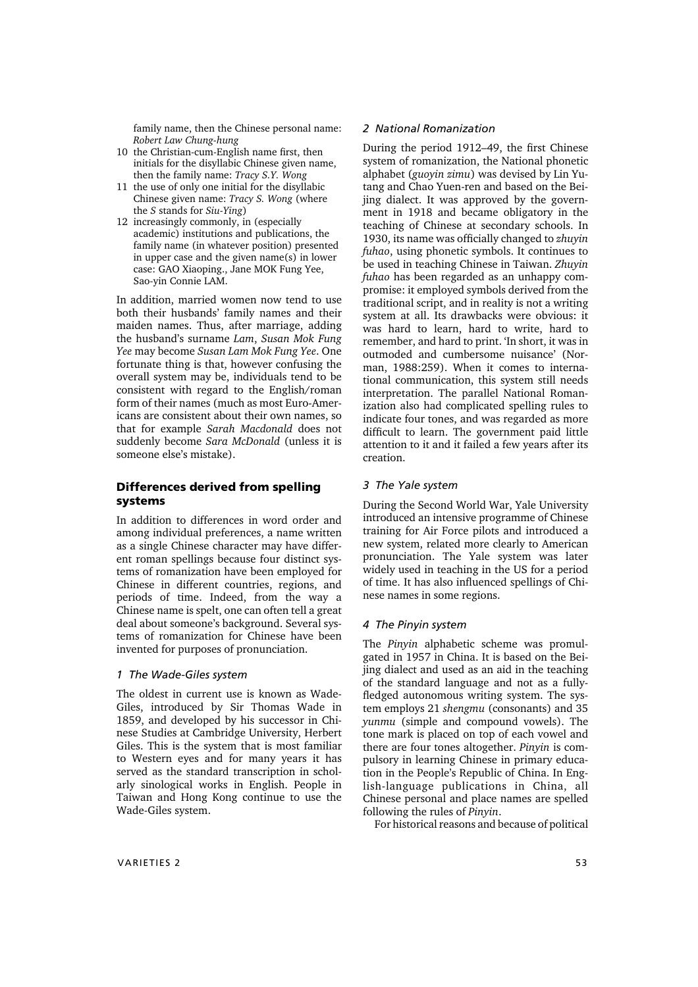family name, then the Chinese personal name: *Robert Law Chung-hung*

- 10 the Christian-cum-English name first, then initials for the disyllabic Chinese given name, then the family name: *Tracy S.Y. Wong*
- 11 the use of only one initial for the disyllabic Chinese given name: *Tracy S. Wong* (where the *S* stands for *Siu-Ying*)
- 12 increasingly commonly, in (especially academic) institutions and publications, the family name (in whatever position) presented in upper case and the given name(s) in lower case: GAO Xiaoping., Jane MOK Fung Yee, Sao-yin Connie LAM.

In addition, married women now tend to use both their husbands' family names and their maiden names. Thus, after marriage, adding the husband's surname *Lam*, *Susan Mok Fung Yee* may become *Susan Lam Mok Fung Yee*. One fortunate thing is that, however confusing the overall system may be, individuals tend to be consistent with regard to the English/roman form of their names (much as most Euro-Americans are consistent about their own names, so that for example *Sarah Macdonald* does not suddenly become *Sara McDonald* (unless it is someone else's mistake).

# **Differences derived from spelling systems**

In addition to differences in word order and among individual preferences, a name written as a single Chinese character may have different roman spellings because four distinct systems of romanization have been employed for Chinese in different countries, regions, and periods of time. Indeed, from the way a Chinese name is spelt, one can often tell a great deal about someone's background. Several systems of romanization for Chinese have been invented for purposes of pronunciation.

#### *1 The Wade-Giles system*

The oldest in current use is known as Wade-Giles, introduced by Sir Thomas Wade in 1859, and developed by his successor in Chinese Studies at Cambridge University, Herbert Giles. This is the system that is most familiar to Western eyes and for many years it has served as the standard transcription in scholarly sinological works in English. People in Taiwan and Hong Kong continue to use the Wade-Giles system.

#### *2 National Romanization*

During the period 1912–49, the first Chinese system of romanization, the National phonetic alphabet (*guoyin zimu*) was devised by Lin Yutang and Chao Yuen-ren and based on the Beijing dialect. It was approved by the government in 1918 and became obligatory in the teaching of Chinese at secondary schools. In 1930, its name was officially changed to *zhuyin fuhao*, using phonetic symbols. It continues to be used in teaching Chinese in Taiwan. *Zhuyin fuhao* has been regarded as an unhappy compromise: it employed symbols derived from the traditional script, and in reality is not a writing system at all. Its drawbacks were obvious: it was hard to learn, hard to write, hard to remember, and hard to print. 'In short, it was in outmoded and cumbersome nuisance' (Norman, 1988:259). When it comes to international communication, this system still needs interpretation. The parallel National Romanization also had complicated spelling rules to indicate four tones, and was regarded as more difficult to learn. The government paid little attention to it and it failed a few years after its creation.

#### *3 The Yale system*

During the Second World War, Yale University introduced an intensive programme of Chinese training for Air Force pilots and introduced a new system, related more clearly to American pronunciation. The Yale system was later widely used in teaching in the US for a period of time. It has also influenced spellings of Chinese names in some regions.

#### *4 The Pinyin system*

The *Pinyin* alphabetic scheme was promulgated in 1957 in China. It is based on the Beijing dialect and used as an aid in the teaching of the standard language and not as a fullyfledged autonomous writing system. The system employs 21 *shengmu* (consonants) and 35 *yunmu* (simple and compound vowels). The tone mark is placed on top of each vowel and there are four tones altogether. *Pinyin* is compulsory in learning Chinese in primary education in the People's Republic of China. In English-language publications in China, all Chinese personal and place names are spelled following the rules of *Pinyin*.

For historical reasons and because of political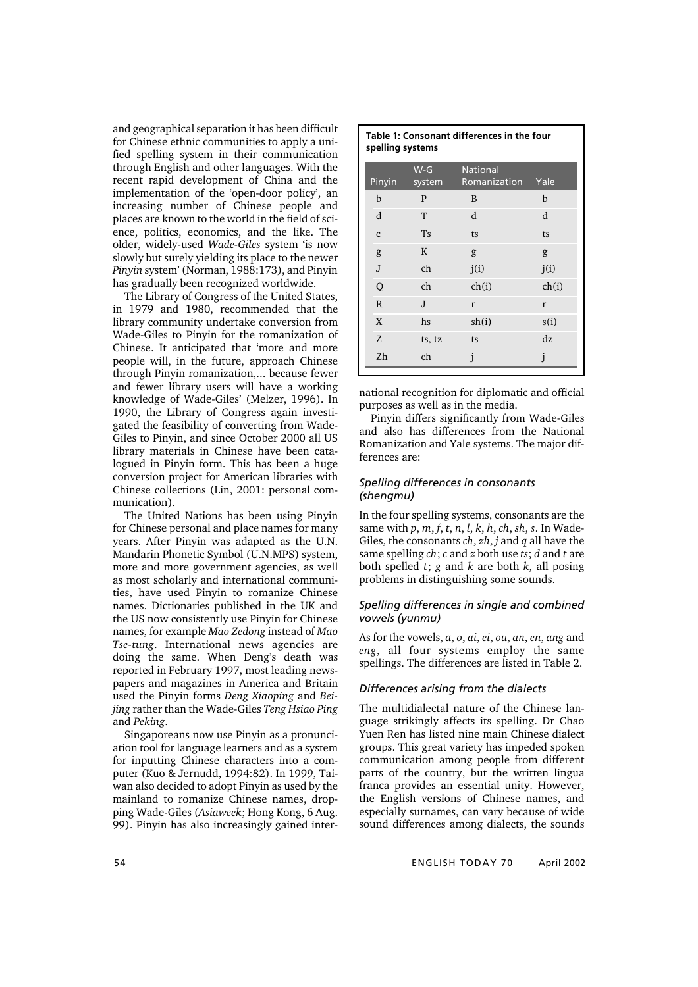and geographical separation it has been difficult for Chinese ethnic communities to apply a unified spelling system in their communication through English and other languages. With the recent rapid development of China and the implementation of the 'open-door policy', an increasing number of Chinese people and places are known to the world in the field of science, politics, economics, and the like. The older, widely-used *Wade-Giles* system 'is now slowly but surely yielding its place to the newer *Pinyin* system' (Norman, 1988:173), and Pinyin has gradually been recognized worldwide.

The Library of Congress of the United States, in 1979 and 1980, recommended that the library community undertake conversion from Wade-Giles to Pinyin for the romanization of Chinese. It anticipated that 'more and more people will, in the future, approach Chinese through Pinyin romanization,... because fewer and fewer library users will have a working knowledge of Wade-Giles' (Melzer, 1996). In 1990, the Library of Congress again investigated the feasibility of converting from Wade-Giles to Pinyin, and since October 2000 all US library materials in Chinese have been catalogued in Pinyin form. This has been a huge conversion project for American libraries with Chinese collections (Lin, 2001: personal communication).

The United Nations has been using Pinyin for Chinese personal and place names for many years. After Pinyin was adapted as the U.N. Mandarin Phonetic Symbol (U.N.MPS) system, more and more government agencies, as well as most scholarly and international communities, have used Pinyin to romanize Chinese names. Dictionaries published in the UK and the US now consistently use Pinyin for Chinese names, for example *Mao Zedong* instead of *Mao Tse-tung*. International news agencies are doing the same. When Deng's death was reported in February 1997, most leading newspapers and magazines in America and Britain used the Pinyin forms *Deng Xiaoping* and *Beijing* rather than the Wade-Giles *Teng Hsiao Ping* and *Peking*.

Singaporeans now use Pinyin as a pronunciation tool for language learners and as a system for inputting Chinese characters into a computer (Kuo & Jernudd, 1994:82). In 1999, Taiwan also decided to adopt Pinyin as used by the mainland to romanize Chinese names, dropping Wade-Giles (*Asiaweek*; Hong Kong, 6 Aug. 99). Pinyin has also increasingly gained inter-

| Table 1: Consonant differences in the four<br>spelling systems |                 |                                 |              |  |  |
|----------------------------------------------------------------|-----------------|---------------------------------|--------------|--|--|
| Pinyin                                                         | $W-G$<br>system | <b>National</b><br>Romanization | Yale         |  |  |
| b                                                              | P               | B                               | $\mathbf b$  |  |  |
| $\mathbf d$                                                    | T               | d                               | d            |  |  |
| $\mathbf{c}$                                                   | <b>Ts</b>       | ts                              | ts           |  |  |
| g                                                              | K               | g                               | g            |  |  |
| J                                                              | ch              | j(i)                            | j(i)         |  |  |
| Q                                                              | ch              | ch(i)                           | ch(i)        |  |  |
| $\mathsf{R}$                                                   | $J_{\rm}$       | r                               | r            |  |  |
| X                                                              | hs              | sh(i)                           | s(i)         |  |  |
| Z                                                              | ts, tz          | ts                              | dz.          |  |  |
| Zh                                                             | ch              | $\mathbf{i}$                    | $\mathbf{i}$ |  |  |
|                                                                |                 |                                 |              |  |  |

national recognition for diplomatic and official purposes as well as in the media.

Pinyin differs significantly from Wade-Giles and also has differences from the National Romanization and Yale systems. The major differences are:

#### *Spelling differences in consonants (shengmu)*

In the four spelling systems, consonants are the same with *p*, *m*, *f*, *t*, *n*, *l*, *k*, *h*, *ch*, *sh*, *s*. In Wade-Giles, the consonants *ch*, *zh*, *j* and *q* all have the same spelling *ch*; *c* and *z* both use *ts*; *d* and *t* are both spelled *t*; *g* and *k* are both *k*, all posing problems in distinguishing some sounds.

#### *Spelling differences in single and combined vowels (yunmu)*

As for the vowels, *a*, *o*, *ai*, *ei*, *ou*, *an*, *en*, *ang* and *eng*, all four systems employ the same spellings. The differences are listed in Table 2.

## *Differences arising from the dialects*

The multidialectal nature of the Chinese language strikingly affects its spelling. Dr Chao Yuen Ren has listed nine main Chinese dialect groups. This great variety has impeded spoken communication among people from different parts of the country, but the written lingua franca provides an essential unity. However, the English versions of Chinese names, and especially surnames, can vary because of wide sound differences among dialects, the sounds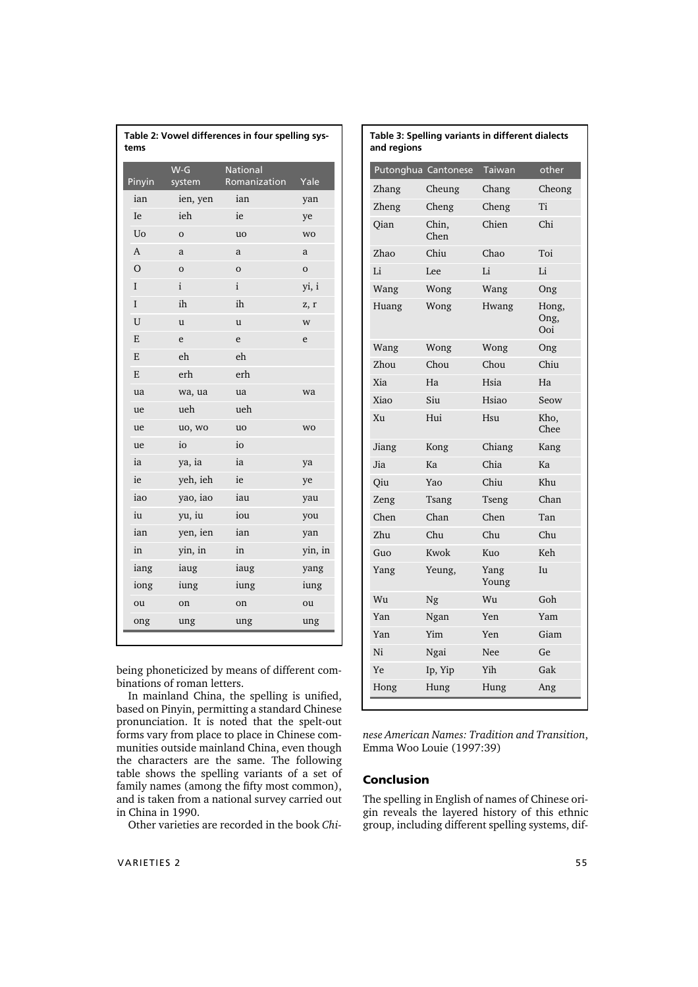| tems           |                 |                                 |                |  |
|----------------|-----------------|---------------------------------|----------------|--|
| Pinyin         | $W-G$<br>system | <b>National</b><br>Romanization | Yale           |  |
| ian            | ien, yen        | ian                             | yan            |  |
| <b>Te</b>      | ieh             | ie                              | ye             |  |
| Uo             | $\overline{O}$  | uo                              | <b>WO</b>      |  |
| $\overline{A}$ | a               | a                               | a              |  |
| $\Omega$       | $\overline{O}$  | $\Omega$                        | $\overline{O}$ |  |
| T              | i               | $\mathbf{i}$                    | yi, i          |  |
| Ī              | ih              | ih                              | z, r           |  |
| U              | u               | u                               | W              |  |
| E              | e               | e                               | e              |  |
| E              | eh              | eh                              |                |  |
| E              | erh             | erh                             |                |  |
| ua             | wa, ua          | ua                              | wa             |  |
| ue             | ueh             | ueh                             |                |  |
| ue             | uo, wo          | uo                              | <b>WO</b>      |  |
| ue             | io              | io                              |                |  |
| ia             | ya, ia          | ia                              | ya             |  |
| ie             | yeh, ieh        | ie                              | ye             |  |
| iao            | yao, iao        | iau                             | yau            |  |
| iu             | yu, iu          | iou                             | you            |  |
| ian            | yen, ien        | ian                             | yan            |  |
| in             | yin, in         | in                              | yin, in        |  |
| iang           | iaug            | iaug                            | yang           |  |
| iong           | iung            | iung                            | iung           |  |
| ou             | on              | on                              | ou             |  |
| ong            | ung             | ung                             | ung            |  |

being phoneticized by means of different combinations of roman letters.

In mainland China, the spelling is unified, based on Pinyin, permitting a standard Chinese pronunciation. It is noted that the spelt-out forms vary from place to place in Chinese communities outside mainland China, even though the characters are the same. The following table shows the spelling variants of a set of family names (among the fifty most common), and is taken from a national survey carried out in China in 1990.

Other varieties are recorded in the book *Chi-*

| Table 3: Spelling variants in different dialects<br>and regions |                     |               |                      |  |
|-----------------------------------------------------------------|---------------------|---------------|----------------------|--|
|                                                                 | Putonghua Cantonese | Taiwan        | other                |  |
| Zhang                                                           | Cheung              | Chang         | Cheong               |  |
| Zheng                                                           | Cheng               | Cheng         | Ti                   |  |
| Oian                                                            | Chin.<br>Chen       | Chien         | Chi                  |  |
| Zhao                                                            | Chiu                | Chao          | Toi                  |  |
| Li                                                              | Lee                 | Li            | Li                   |  |
| Wang                                                            | Wong                | Wang          | Ong                  |  |
| Huang                                                           | Wong                | Hwang         | Hong,<br>Ong,<br>Ooi |  |
| Wang                                                            | Wong                | Wong          | Ong                  |  |
| Zhou                                                            | Chou                | Chou          | Chiu                 |  |
| <b>Xia</b>                                                      | Ha                  | Hsia          | Ha                   |  |
| Xiao                                                            | Siu                 | Hsiao         | Seow                 |  |
| Xu                                                              | Hui                 | Hsu           | Kho,<br>Chee         |  |
| Jiang                                                           | Kong                | Chiang        | Kang                 |  |
| Jia                                                             | Ka                  | Chia          | Ka                   |  |
| Oiu                                                             | Yao                 | Chiu          | Khu                  |  |
| Zeng                                                            | Tsang               | Tseng         | Chan                 |  |
| Chen                                                            | Chan                | Chen          | Tan                  |  |
| Zhu                                                             | Chu                 | Chu           | Chu                  |  |
| Guo                                                             | Kwok                | Kuo           | Keh                  |  |
| Yang                                                            | Yeung,              | Yang<br>Young | Iu                   |  |
| Wu                                                              | Ng                  | Wu            | Goh                  |  |
| Yan                                                             | Ngan                | Yen           | Yam                  |  |
| Yan                                                             | Yim                 | Yen           | Giam                 |  |
| Ni                                                              | Ngai                | Nee           | Ge                   |  |
| Ye                                                              | Ip, Yip             | Yih           | Gak                  |  |
| Hong                                                            | Hung                | Hung          | Ang                  |  |

*nese American Names: Tradition and Transition*, Emma Woo Louie (1997:39)

#### **Conclusion**

The spelling in English of names of Chinese origin reveals the layered history of this ethnic group, including different spelling systems, dif-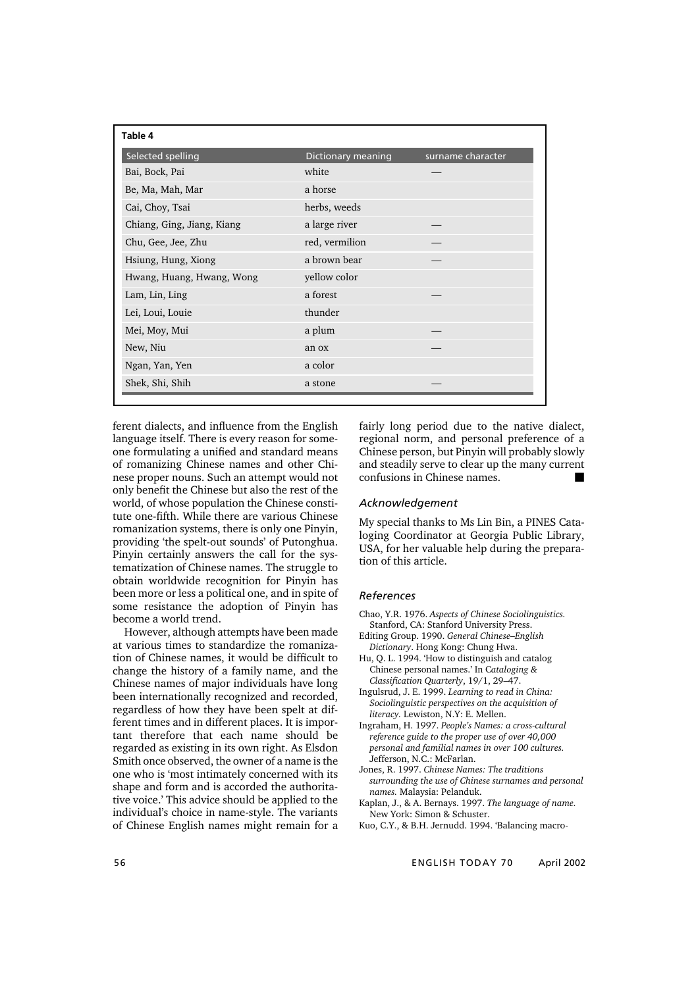| Table 4                    |                    |                   |
|----------------------------|--------------------|-------------------|
| Selected spelling          | Dictionary meaning | surname character |
| Bai, Bock, Pai             | white              |                   |
| Be, Ma, Mah, Mar           | a horse            |                   |
| Cai, Choy, Tsai            | herbs, weeds       |                   |
| Chiang, Ging, Jiang, Kiang | a large river      |                   |
| Chu, Gee, Jee, Zhu         | red, vermilion     |                   |
| Hsiung, Hung, Xiong        | a brown bear       |                   |
| Hwang, Huang, Hwang, Wong  | yellow color       |                   |
| Lam, Lin, Ling             | a forest           |                   |
| Lei, Loui, Louie           | thunder            |                   |
| Mei, Moy, Mui              | a plum             |                   |
| New, Niu                   | an ox              |                   |
| Ngan, Yan, Yen             | a color            |                   |
| Shek, Shi, Shih            | a stone            |                   |

ferent dialects, and influence from the English language itself. There is every reason for someone formulating a unified and standard means of romanizing Chinese names and other Chinese proper nouns. Such an attempt would not only benefit the Chinese but also the rest of the world, of whose population the Chinese constitute one-fifth. While there are various Chinese romanization systems, there is only one Pinyin, providing 'the spelt-out sounds' of Putonghua. Pinyin certainly answers the call for the systematization of Chinese names. The struggle to obtain worldwide recognition for Pinyin has been more or less a political one, and in spite of some resistance the adoption of Pinyin has become a world trend.

However, although attempts have been made at various times to standardize the romanization of Chinese names, it would be difficult to change the history of a family name, and the Chinese names of major individuals have long been internationally recognized and recorded, regardless of how they have been spelt at different times and in different places. It is important therefore that each name should be regarded as existing in its own right. As Elsdon Smith once observed, the owner of a name is the one who is 'most intimately concerned with its shape and form and is accorded the authoritative voice.' This advice should be applied to the individual's choice in name-style. The variants of Chinese English names might remain for a

fairly long period due to the native dialect, regional norm, and personal preference of a Chinese person, but Pinyin will probably slowly and steadily serve to clear up the many current confusions in Chinese names.

#### *Acknowledgement*

My special thanks to Ms Lin Bin, a PINES Cataloging Coordinator at Georgia Public Library, USA, for her valuable help during the preparation of this article.

#### *References*

- Chao, Y.R. 1976. *Aspects of Chinese Sociolinguistics.* Stanford, CA: Stanford University Press.
- Editing Group. 1990. *General Chinese–English Dictionary*. Hong Kong: Chung Hwa.
- Hu, Q. L. 1994. 'How to distinguish and catalog Chinese personal names.' In C*ataloging & Classification Quarterly*, 19/1, 29–47.
- Ingulsrud, J. E. 1999. *Learning to read in China: Sociolinguistic perspectives on the acquisition of literacy.* Lewiston, N.Y: E. Mellen.
- Ingraham, H. 1997. *People's Names: a cross-cultural reference guide to the proper use of over 40,000 personal and familial names in over 100 cultures.* Jefferson, N.C.: McFarlan.
- Jones, R. 1997. *Chinese Names: The traditions surrounding the use of Chinese surnames and personal names.* Malaysia: Pelanduk.
- Kaplan, J., & A. Bernays. 1997. *The language of name.* New York: Simon & Schuster.
- Kuo, C.Y., & B.H. Jernudd. 1994. 'Balancing macro-

56 ENGLISH TODAY 70 April 2002